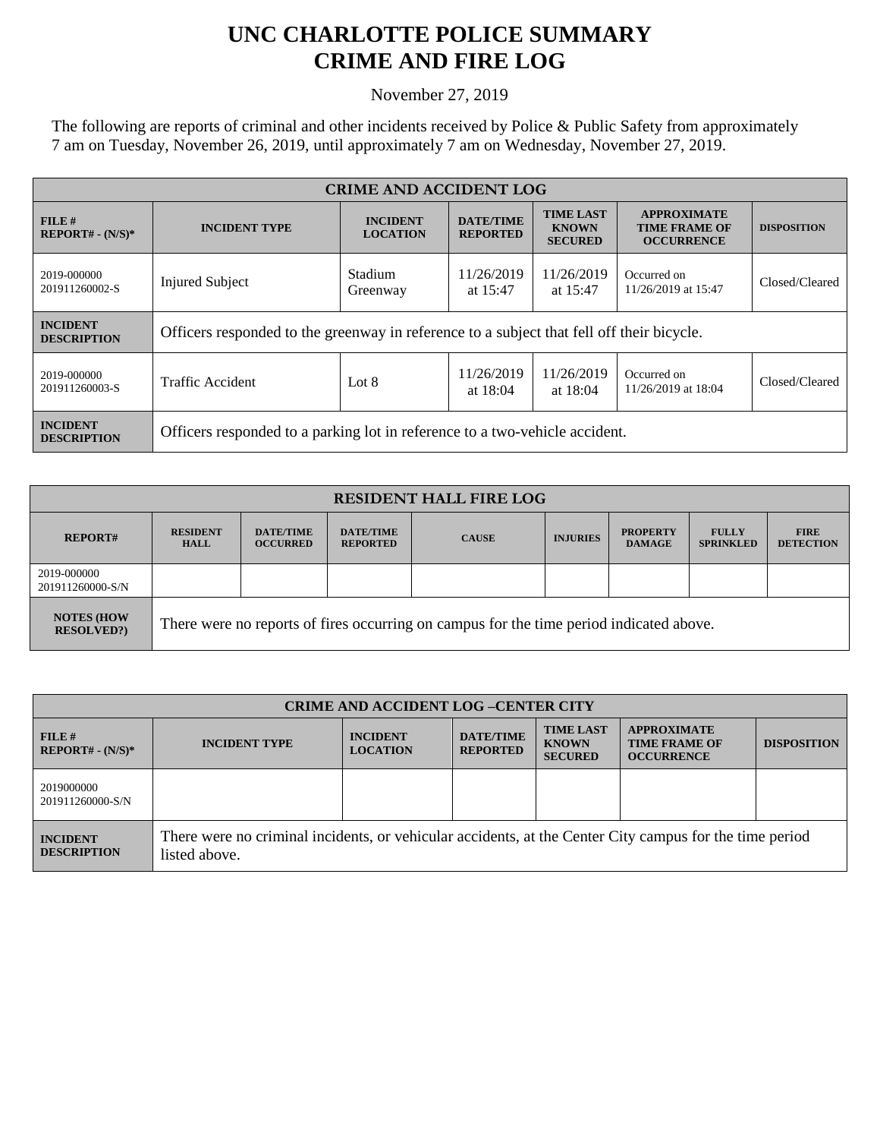## **UNC CHARLOTTE POLICE SUMMARY CRIME AND FIRE LOG**

November 27, 2019

The following are reports of criminal and other incidents received by Police & Public Safety from approximately 7 am on Tuesday, November 26, 2019, until approximately 7 am on Wednesday, November 27, 2019.

| <b>CRIME AND ACCIDENT LOG</b>         |                                                                                           |                                    |                                     |                                                    |                                                                 |                    |  |
|---------------------------------------|-------------------------------------------------------------------------------------------|------------------------------------|-------------------------------------|----------------------------------------------------|-----------------------------------------------------------------|--------------------|--|
| FILE H<br>$REPORT# - (N/S)*$          | <b>INCIDENT TYPE</b>                                                                      | <b>INCIDENT</b><br><b>LOCATION</b> | <b>DATE/TIME</b><br><b>REPORTED</b> | <b>TIME LAST</b><br><b>KNOWN</b><br><b>SECURED</b> | <b>APPROXIMATE</b><br><b>TIME FRAME OF</b><br><b>OCCURRENCE</b> | <b>DISPOSITION</b> |  |
| 2019-000000<br>201911260002-S         | <b>Injured Subject</b>                                                                    | Stadium<br>Greenway                | 11/26/2019<br>at $15:47$            | 11/26/2019<br>at 15:47                             | Occurred on<br>11/26/2019 at 15:47                              | Closed/Cleared     |  |
| <b>INCIDENT</b><br><b>DESCRIPTION</b> | Officers responded to the greenway in reference to a subject that fell off their bicycle. |                                    |                                     |                                                    |                                                                 |                    |  |
| 2019-000000<br>201911260003-S         | <b>Traffic Accident</b>                                                                   | Lot $8$                            | 11/26/2019<br>at $18:04$            | 11/26/2019<br>at $18:04$                           | Occurred on<br>11/26/2019 at 18:04                              | Closed/Cleared     |  |
| <b>INCIDENT</b><br><b>DESCRIPTION</b> | Officers responded to a parking lot in reference to a two-vehicle accident.               |                                    |                                     |                                                    |                                                                 |                    |  |

| <b>RESIDENT HALL FIRE LOG</b>         |                                                                                         |                                     |                                     |              |                 |                                  |                                  |                                 |
|---------------------------------------|-----------------------------------------------------------------------------------------|-------------------------------------|-------------------------------------|--------------|-----------------|----------------------------------|----------------------------------|---------------------------------|
| <b>REPORT#</b>                        | <b>RESIDENT</b><br><b>HALL</b>                                                          | <b>DATE/TIME</b><br><b>OCCURRED</b> | <b>DATE/TIME</b><br><b>REPORTED</b> | <b>CAUSE</b> | <b>INJURIES</b> | <b>PROPERTY</b><br><b>DAMAGE</b> | <b>FULLY</b><br><b>SPRINKLED</b> | <b>FIRE</b><br><b>DETECTION</b> |
| 2019-000000<br>201911260000-S/N       |                                                                                         |                                     |                                     |              |                 |                                  |                                  |                                 |
| <b>NOTES (HOW</b><br><b>RESOLVED?</b> | There were no reports of fires occurring on campus for the time period indicated above. |                                     |                                     |              |                 |                                  |                                  |                                 |

| <b>CRIME AND ACCIDENT LOG-CENTER CITY</b> |                                                                                                                          |                                    |                                     |                                                    |                                                                 |                    |
|-------------------------------------------|--------------------------------------------------------------------------------------------------------------------------|------------------------------------|-------------------------------------|----------------------------------------------------|-----------------------------------------------------------------|--------------------|
| FILE H<br>$REPORT# - (N/S)*$              | <b>INCIDENT TYPE</b>                                                                                                     | <b>INCIDENT</b><br><b>LOCATION</b> | <b>DATE/TIME</b><br><b>REPORTED</b> | <b>TIME LAST</b><br><b>KNOWN</b><br><b>SECURED</b> | <b>APPROXIMATE</b><br><b>TIME FRAME OF</b><br><b>OCCURRENCE</b> | <b>DISPOSITION</b> |
| 2019000000<br>201911260000-S/N            |                                                                                                                          |                                    |                                     |                                                    |                                                                 |                    |
| <b>INCIDENT</b><br><b>DESCRIPTION</b>     | There were no criminal incidents, or vehicular accidents, at the Center City campus for the time period<br>listed above. |                                    |                                     |                                                    |                                                                 |                    |